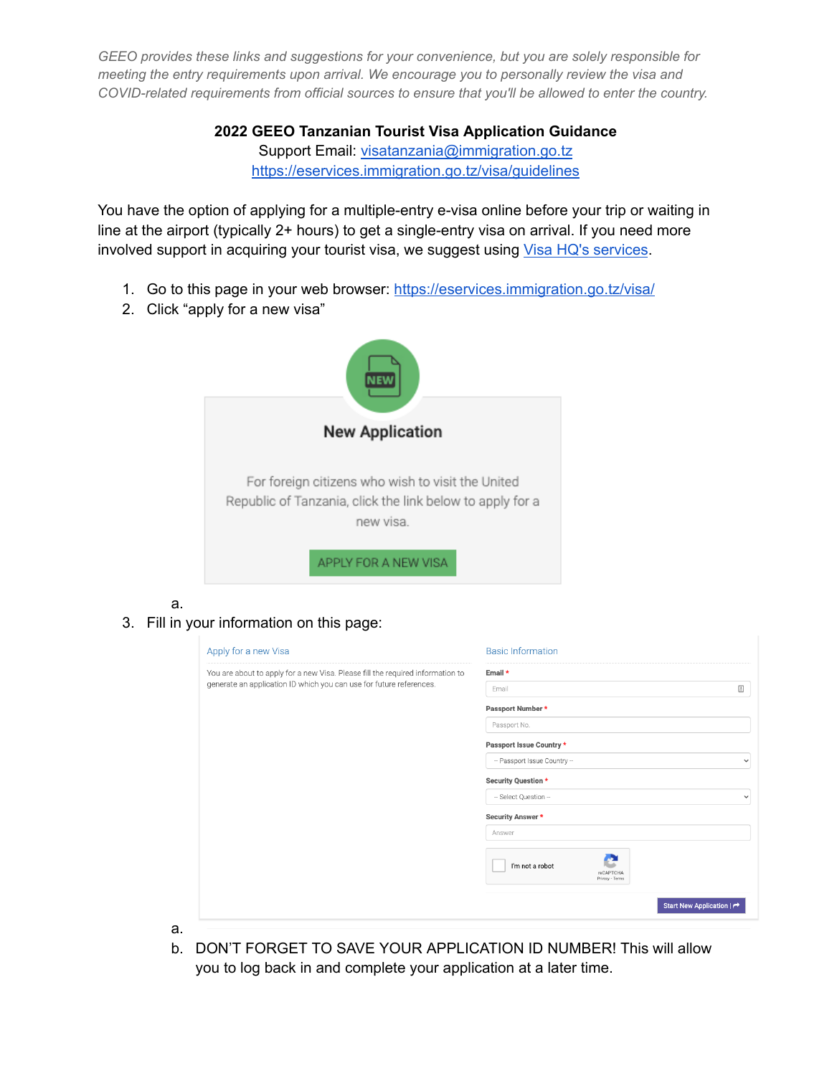> **2022 GEEO Tanzanian Tourist Visa Application Guidance** Support Email: [visatanzania@immigration.go.tz](mailto:visatanzania@immigration.go.tz) <https://eservices.immigration.go.tz/visa/guidelines>

You have the option of applying for a multiple-entry e-visa online before your trip or waiting in line at the airport (typically 2+ hours) to get a single-entry visa on arrival. If you need more involved support in acquiring your tourist visa, we suggest using Visa HQ's [services](https://www.visahq.com/tanzania/).

- 1. Go to this page in your web browser: <https://eservices.immigration.go.tz/visa/>
- 2. Click "apply for a new visa"



a.

a.

3. Fill in your information on this page:

| Apply for a new Visa                                                           | <b>Basic Information</b>                        |
|--------------------------------------------------------------------------------|-------------------------------------------------|
| You are about to apply for a new Visa. Please fill the required information to | Email *                                         |
| generate an application ID which you can use for future references.            | $\triangleq$<br>Email                           |
|                                                                                | Passport Number*                                |
|                                                                                | Passport No.                                    |
|                                                                                | Passport Issue Country *                        |
|                                                                                | - Passport Issue Country --<br>$\checkmark$     |
|                                                                                | Security Question *                             |
|                                                                                | - Select Question -<br>$\checkmark$             |
|                                                                                | Security Answer *                               |
|                                                                                | Answer                                          |
|                                                                                | I'm not a robot<br>reCAPTCHA<br>Privacy - Terms |
|                                                                                | Start New Application   ~                       |

b. DON'T FORGET TO SAVE YOUR APPLICATION ID NUMBER! This will allow you to log back in and complete your application at a later time.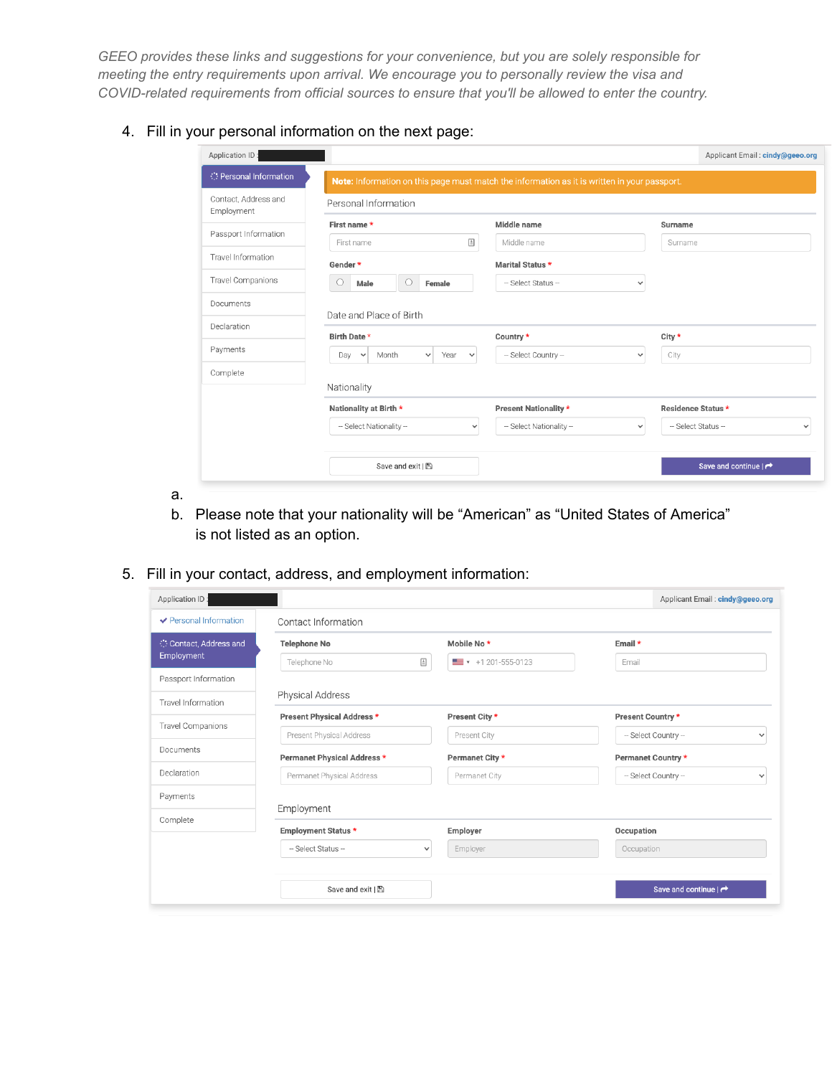## 4. Fill in your personal information on the next page:

| Application ID:                    |                                                     |              |                                                                                              |              |                    | Applicant Email: cindy@geeo.org      |              |
|------------------------------------|-----------------------------------------------------|--------------|----------------------------------------------------------------------------------------------|--------------|--------------------|--------------------------------------|--------------|
| Personal Information               |                                                     |              | Note: Information on this page must match the information as it is written in your passport. |              |                    |                                      |              |
| Contact, Address and<br>Employment | Personal Information                                |              |                                                                                              |              |                    |                                      |              |
|                                    | First name*                                         |              | Middle name                                                                                  |              | Surname            |                                      |              |
| Passport Information               | First name                                          | $\triangleq$ | Middle name                                                                                  |              | Surname            |                                      |              |
| Travel Information                 | Gender*                                             |              | <b>Marital Status *</b>                                                                      |              |                    |                                      |              |
| Travel Companions                  | $\circ$<br>Male<br>Female<br>O                      |              | -- Select Status --                                                                          | $\checkmark$ |                    |                                      |              |
| Documents                          |                                                     |              |                                                                                              |              |                    |                                      |              |
| Declaration                        | Date and Place of Birth                             |              |                                                                                              |              |                    |                                      |              |
|                                    | Birth Date *                                        |              | Country *                                                                                    |              | City *             |                                      |              |
| Payments                           | Month<br>Year<br>Day<br>$\check{~}$<br>$\checkmark$ | $\checkmark$ | -- Select Country --                                                                         | $\checkmark$ | City               |                                      |              |
| Complete                           |                                                     |              |                                                                                              |              |                    |                                      |              |
|                                    | Nationality                                         |              |                                                                                              |              |                    |                                      |              |
|                                    | Nationality at Birth *                              |              | Present Nationality *                                                                        |              | Residence Status * |                                      |              |
|                                    | -- Select Nationality --                            | $\checkmark$ | -- Select Nationality --                                                                     | $\checkmark$ | - Select Status -  |                                      | $\checkmark$ |
|                                    |                                                     |              |                                                                                              |              |                    |                                      |              |
|                                    | Save and exit   图                                   |              |                                                                                              |              |                    | Save and continue $\mid \rightarrow$ |              |

- a.
- b. Please note that your nationality will be "American" as "United States of America" is not listed as an option.
- 5. Fill in your contact, address, and employment information:

|                             |                                                      | Applicant Email: cindy@geeo.org      |
|-----------------------------|------------------------------------------------------|--------------------------------------|
| Contact Information         |                                                      |                                      |
| <b>Telephone No</b>         | Mobile No*                                           | Email *                              |
| Telephone No                | $\blacksquare$ $\blacktriangleright$ +1 201-555-0123 | Email                                |
|                             |                                                      |                                      |
| Physical Address            |                                                      |                                      |
| Present Physical Address *  | Present City *                                       | Present Country *                    |
| Present Physical Address    | Present City                                         | -- Select Country --<br>$\checkmark$ |
| Permanet Physical Address * | Permanet City *                                      | Permanet Country *                   |
| Permanet Physical Address   | Permanet City                                        | -- Select Country --<br>$\checkmark$ |
|                             |                                                      |                                      |
|                             |                                                      |                                      |
| <b>Employment Status *</b>  | Employer                                             | Occupation                           |
| -- Select Status --         | Employer                                             | Occupation                           |
|                             |                                                      |                                      |
| Save and exit   图           |                                                      | Save and continue $ \rightarrow$     |
|                             | Employment                                           | 固<br>$\checkmark$                    |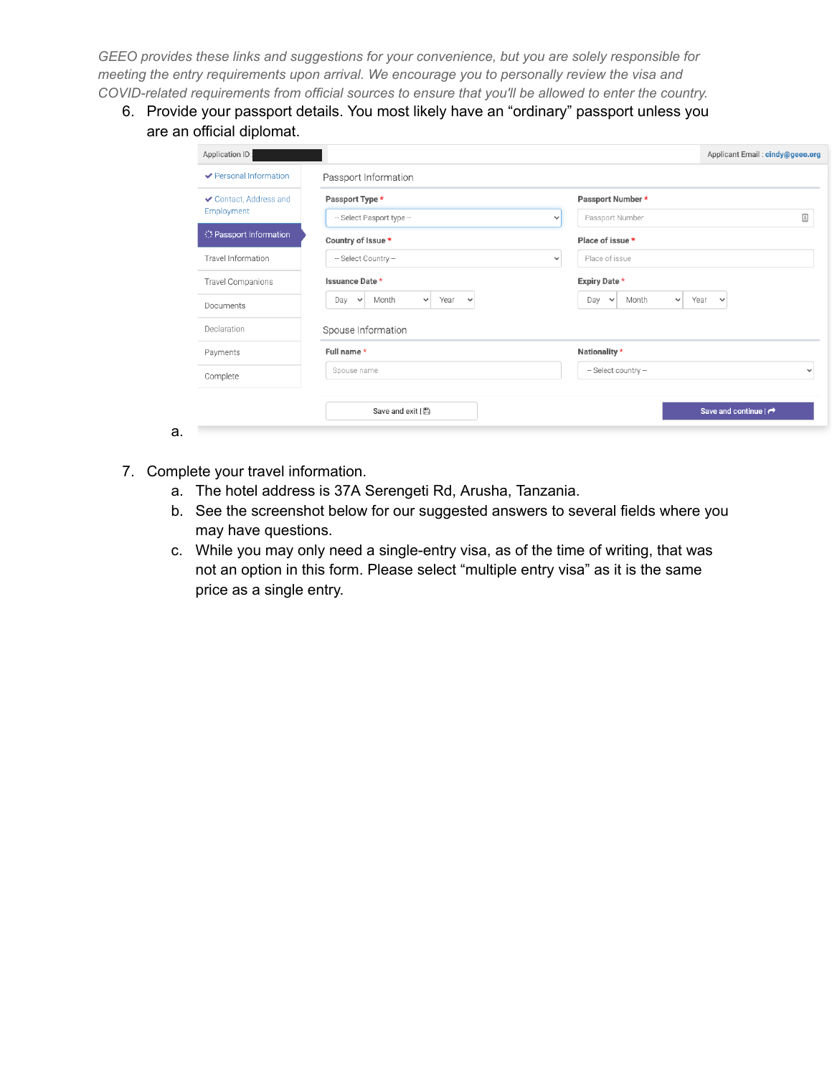6. Provide your passport details. You most likely have an "ordinary" passport unless you are an official diplomat.

| ✔ Personal Information      | Passport Information                                          |                                                      |                                      |
|-----------------------------|---------------------------------------------------------------|------------------------------------------------------|--------------------------------------|
| ✔ Contact, Address and      | Passport Type *                                               | Passport Number *                                    |                                      |
| Employment                  | -- Select Pasport type --                                     | Passport Number<br>$\checkmark$                      |                                      |
| <b>Passport Information</b> | Country of Issue *                                            | Place of issue *                                     |                                      |
| Travel Information          | -- Select Country --                                          | Place of issue<br>$\checkmark$                       |                                      |
| Travel Companions           | Issuance Date *                                               | Expiry Date *                                        |                                      |
| Documents                   | Year<br>Month<br>Day<br>$\check{~}$<br>$\vee$<br>$\checkmark$ | Month<br>Year<br>Day<br>$\checkmark$<br>$\checkmark$ | $\checkmark$                         |
| Declaration                 | Spouse Information                                            |                                                      |                                      |
| Payments                    | Full name *                                                   | Nationality *                                        |                                      |
| Complete                    | Spouse name                                                   | -- Select country --                                 |                                      |
|                             | Save and exit   图                                             |                                                      | Save and continue $\mid \rightarrow$ |

- 7. Complete your travel information.
	- a. The hotel address is 37A Serengeti Rd, Arusha, Tanzania.
	- b. See the screenshot below for our suggested answers to several fields where you may have questions.
	- c. While you may only need a single-entry visa, as of the time of writing, that was not an option in this form. Please select "multiple entry visa" as it is the same price as a single entry.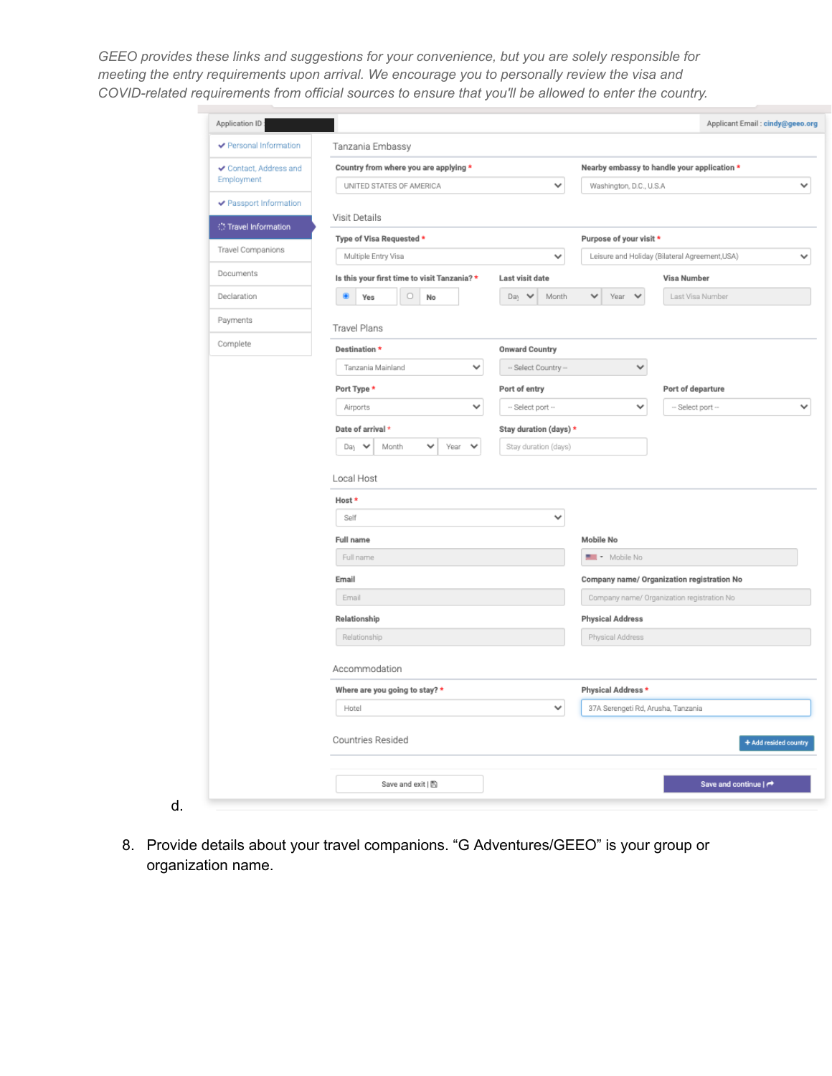| ← Personal Information | Tanzania Embassy                             |                        |                                    |                                                |                       |
|------------------------|----------------------------------------------|------------------------|------------------------------------|------------------------------------------------|-----------------------|
| ✔ Contact, Address and | Country from where you are applying *        |                        |                                    | Nearby embassy to handle your application *    |                       |
| Employment             | UNITED STATES OF AMERICA                     | v                      | Washington, D.C., U.S.A.           |                                                |                       |
| ✔ Passport Information | Visit Details                                |                        |                                    |                                                |                       |
| Travel Information     | Type of Visa Requested *                     |                        | Purpose of your visit *            |                                                |                       |
| Travel Companions      | Multiple Entry Visa                          | v                      |                                    | Leisure and Holiday (Bilateral Agreement, USA) |                       |
| Documents              | Is this your first time to visit Tanzania? * | Last visit date        |                                    | <b>Visa Number</b>                             |                       |
| Declaration            | $\circ$<br>۲<br>Yes<br>No                    | Day V<br>Month         | ٧<br>Year<br>$\checkmark$          | Last Visa Number                               |                       |
| Payments               | <b>Travel Plans</b>                          |                        |                                    |                                                |                       |
| Complete               | Destination *                                | <b>Onward Country</b>  |                                    |                                                |                       |
|                        | Tanzania Mainland<br>$\checkmark$            | -- Select Country --   | ٧                                  |                                                |                       |
|                        | Port Type *                                  | Port of entry          |                                    | Port of departure                              |                       |
|                        | ٧<br>Airports                                | -- Select port --      | $\checkmark$                       | -- Select port --                              |                       |
|                        | Date of arrival *                            | Stay duration (days) * |                                    |                                                |                       |
|                        | Day<br>Month<br>Year<br>٧<br>◡<br>٧          | Stay duration (days)   |                                    |                                                |                       |
|                        | Local Host                                   |                        |                                    |                                                |                       |
|                        | Host *                                       |                        |                                    |                                                |                       |
|                        | Self                                         | v                      |                                    |                                                |                       |
|                        |                                              |                        |                                    |                                                |                       |
|                        | <b>Full name</b>                             |                        | Mobile No                          |                                                |                       |
|                        | Full name                                    |                        | Mobile No                          |                                                |                       |
|                        | Email                                        |                        |                                    | Company name/ Organization registration No     |                       |
|                        | Email                                        |                        |                                    | Company name/ Organization registration No     |                       |
|                        | Relationship                                 |                        | <b>Physical Address</b>            |                                                |                       |
|                        | Relationship                                 |                        | Physical Address                   |                                                |                       |
|                        | Accommodation                                |                        |                                    |                                                |                       |
|                        | Where are you going to stay? *               |                        | Physical Address *                 |                                                |                       |
|                        | Hotel                                        | ٧                      | 37A Serengeti Rd, Arusha, Tanzania |                                                |                       |
|                        | Countries Resided                            |                        |                                    |                                                | + Add resided country |

8. Provide details about your travel companions. "G Adventures/GEEO" is your group or organization name.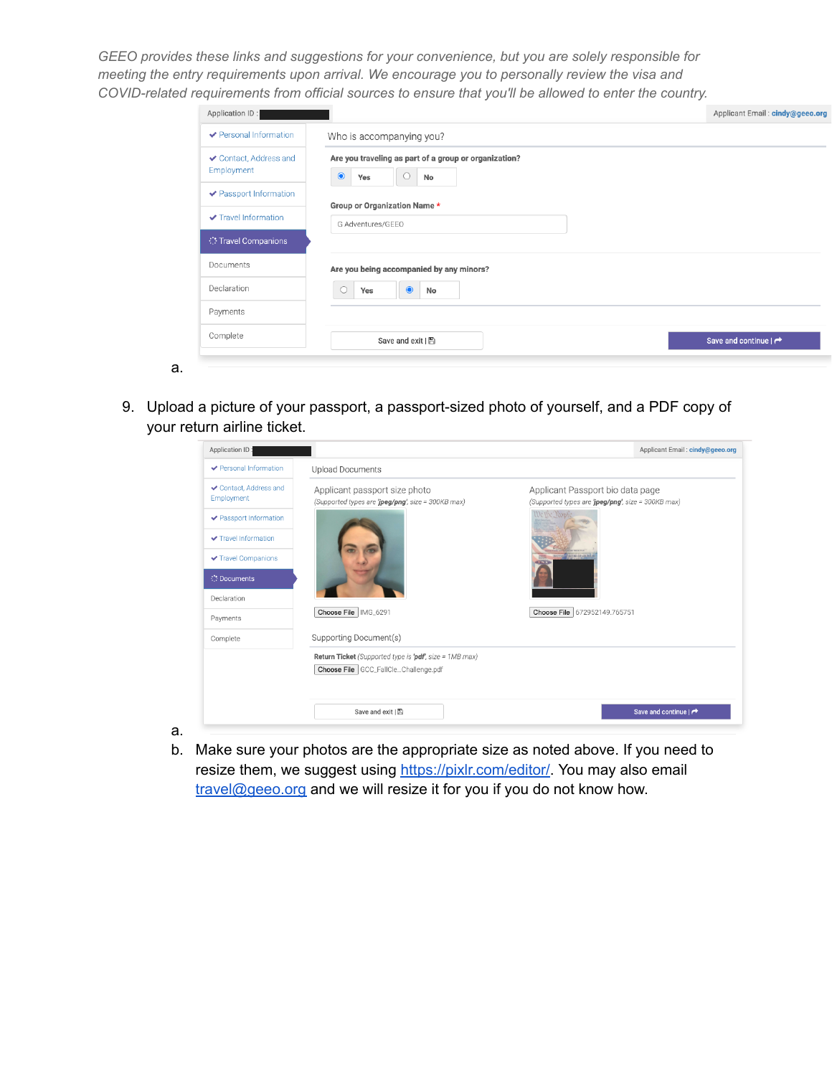| Who is accompanying you?                                                             |                                  |
|--------------------------------------------------------------------------------------|----------------------------------|
|                                                                                      |                                  |
| Are you traveling as part of a group or organization?<br>$\bullet$<br>Yes<br>No<br>U |                                  |
|                                                                                      |                                  |
| G Adventures/GEEO                                                                    |                                  |
|                                                                                      |                                  |
| Are you being accompanied by any minors?                                             |                                  |
| $\bullet$<br>Yes<br>No                                                               |                                  |
|                                                                                      |                                  |
| Save and exit   图                                                                    | Save and continue $ \rightarrow$ |
|                                                                                      | Group or Organization Name*      |

9. Upload a picture of your passport, a passport-sized photo of yourself, and a PDF copy of your return airline ticket.

a.

| Application ID:                      |                                                         | Applicant Email: cindy@geeo.org                    |
|--------------------------------------|---------------------------------------------------------|----------------------------------------------------|
| ← Personal Information               | <b>Upload Documents</b>                                 |                                                    |
| ✔ Contact, Address and<br>Employment | Applicant passport size photo                           | Applicant Passport bio data page                   |
| ✔ Passport Information               | (Supported types are 'jpeg/png', size = 300KB max)      | (Supported types are 'jpeg/png', size = 300KB max) |
| ✔ Travel Information                 |                                                         |                                                    |
| ✔ Travel Companions                  |                                                         | <b>SCEND CIR ASSOCIATE</b>                         |
| <b>Documents</b>                     |                                                         |                                                    |
| Declaration                          |                                                         |                                                    |
| Payments                             | Choose File   IMG_6291                                  | Choose File 672952149.765751                       |
| Complete                             | Supporting Document(s)                                  |                                                    |
|                                      | Return Ticket (Supported type is 'pdf', size = 1MB max) |                                                    |
|                                      | Choose File GCC_FallCleChallenge.pdf                    |                                                    |
|                                      |                                                         |                                                    |
|                                      | Save and exit   图                                       | Save and continue   $\rightarrow$                  |

b. Make sure your photos are the appropriate size as noted above. If you need to resize them, we suggest using [https://pixlr.com/editor/.](https://pixlr.com/editor/) You may also email [travel@geeo.org](mailto:travel@geeo.org) and we will resize it for you if you do not know how.